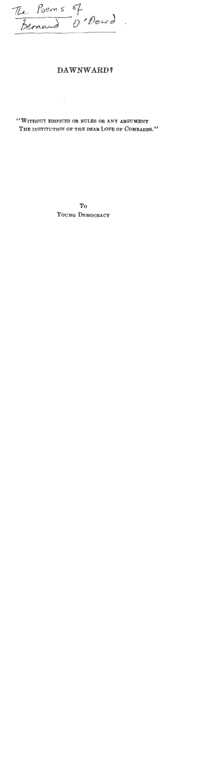The Poems of<br>Bernard O'Dowd.

**Contract Contract** 

## **DAWNWARD 9**

"WITHOUT EDIFICES OR RULES OR ANY ARGUMENT THE INSTITUTION OF THE DEAR LOVE OF COMRADES."

> T<sub>0</sub> YOUNG DEMOCRACY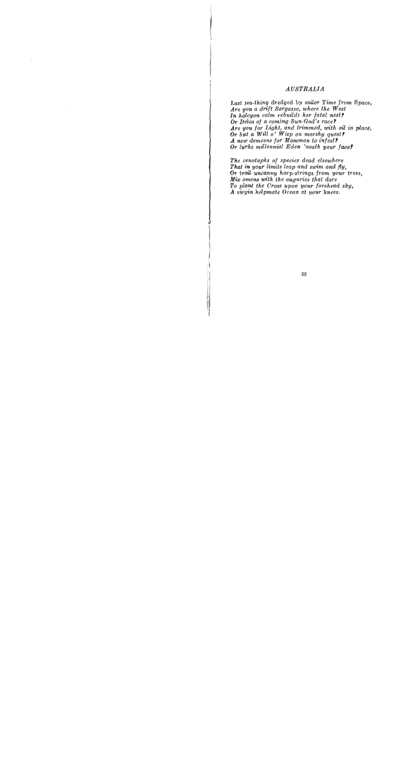## *AUSTRALIA*

Last sea-thing dredged by sailor Time from Space, *Are you a drift Sargasso, where the West*  In halcyon calm rebuilds her fatal nest? *Or Debs of a coming Sun-God's race? Are you for Laght, and trimmed, with* **oil** *in place, Or but a Will o' Wisp on marshy quest?*  A new demesne for Mammon to infest? *Or lurks millennia1 Eden 'neath your face?* 

*The cenotaphs of species dead elsewhere That in your limits leap and swim and fly, Or trail uncanny harp-strings from your trees, Mix omens with the auguries that dare To plant the Cross upon your forehead sky, A virgin helpmate Ocean at your knees.*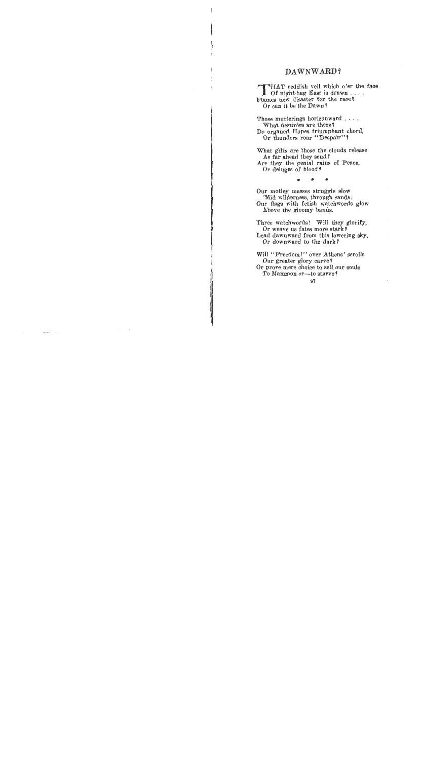## **DAWNWARD?**

THAT reddish veil which o'er the face<br>Of night-hag East is drawn.... Flames new disaster for the race? Or can it be the Dawn P

Those mutterings horizonward . . . . What destinies are there? Do organed Hopes triumphant chord, Or thunders roar "Despair"?

What gifts are those the clouds release As far ahead they scud? Are they the genial rains of Peace, Or deluges of blood ?

Our motley masses struggle slow 'Mid wilderness, through sands; Our **flags** with fetish watchwords glow Above the gloomy bands.

Three watchwords! Will they glorify, Or weave us fates more stark **<sup>7</sup>** Lead dawnward from this lowering sky, Or downward to the dark?

Will "Freedom!" over Athens' scrolls Our greater glory carve? Or prove mere choice to sell our souls To Mammon or-to starve?

**37**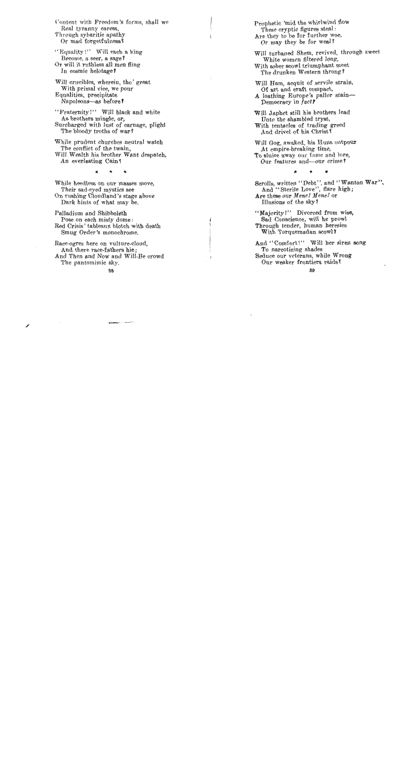Content with Freedom's forms, shall we Real tyranny caress, Through sybaritic apathy Or mad forgetfulness?

" Equality!" Will each a king Become, a seer, a sage? Or will it rnthless all men fling In cosmic helotage?

Will crucibles, wherein, tho' great With primal vice, we pour Equalities, precipitate Napoleons-as before **<sup>T</sup>**

"Fraternity!" Will black and white As brothers mingle, or, Surcharged with lust of carnage, plight The bloody troths of war?

While prudent churches neutral watch The conflict of the twain, Will Wealth his brother Want despatch, An everlasting Cain?

While heedless on our masses move, Their sad-eyed mystics see On rushing Cloudland's stage above Dark hints of what may be.

Palladium and Shibboleth Pose on each misty dome: Red Crisis' tableaux blotch with death Smug Order's monochrome.

Race-ogres here on vulture-cloud, And there race-fathers hie ; And Then and Now and Will-Be crowd The pantomimic sky.

Prophetic 'mid the whirlwind flow These cryptic figures steal : Are they to be for further woe, Or may they be for weal?

Will turbaned Shem, revived, through sweet White women filtered long, With sober scowl triumphant meet The drunken Western throng?

Will Ham, acquit of servile strain, Of art and craft compact,

A loathing Europe's pallor stain-Democracy in fact?

Will Japhet still his brothers lead Unto the shambled tryst, With tentacles of trading greed And drivel of his Christ?

Will Gog, awaked, his Huns outpour At empire-breaking time, To sluice away our fame and lore, Our features and--our crime **<sup>T</sup>**

Scrolls, written "Debt", and "Wanton War", And "Sterile Love", flare high; Are these our *Mene! Mene!* or Illusions of the sky?

"Majority!" Divorced from wise, Sad Conscience, will he prowl Through tender, human heresies With Torquemadan scowl?

And "Comfort!" Will her siren song To narcotizing shades Seduce our veterans, while Wrong Our weaker frontiers raids 7

 $\tilde{\phantom{a}}$